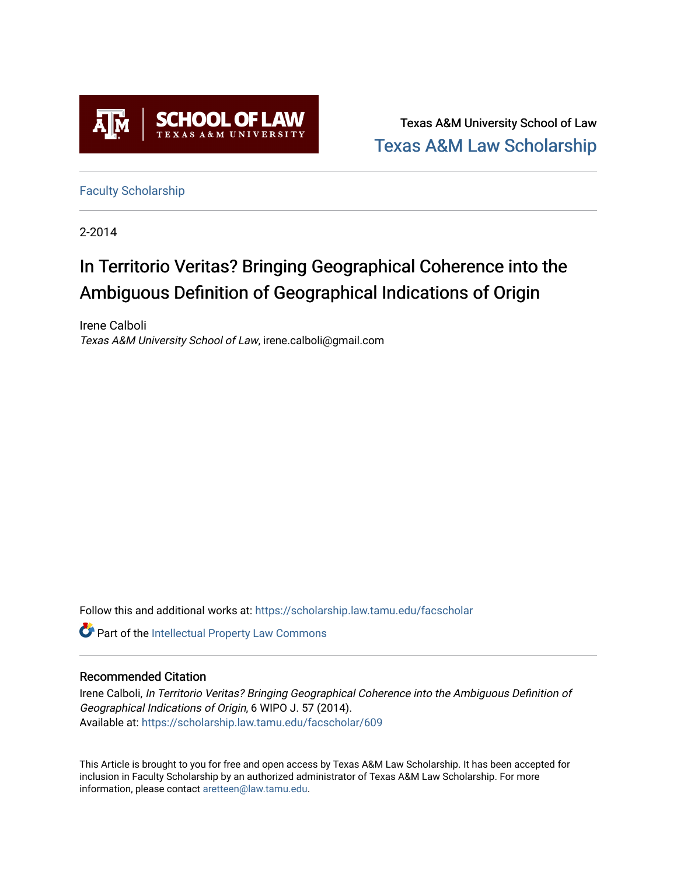

Texas A&M University School of Law [Texas A&M Law Scholarship](https://scholarship.law.tamu.edu/) 

[Faculty Scholarship](https://scholarship.law.tamu.edu/facscholar)

2-2014

# In Territorio Veritas? Bringing Geographical Coherence into the Ambiguous Definition of Geographical Indications of Origin

Irene Calboli Texas A&M University School of Law, irene.calboli@gmail.com

Follow this and additional works at: [https://scholarship.law.tamu.edu/facscholar](https://scholarship.law.tamu.edu/facscholar?utm_source=scholarship.law.tamu.edu%2Ffacscholar%2F609&utm_medium=PDF&utm_campaign=PDFCoverPages) 

Part of the [Intellectual Property Law Commons](http://network.bepress.com/hgg/discipline/896?utm_source=scholarship.law.tamu.edu%2Ffacscholar%2F609&utm_medium=PDF&utm_campaign=PDFCoverPages) 

### Recommended Citation

Irene Calboli, In Territorio Veritas? Bringing Geographical Coherence into the Ambiguous Definition of Geographical Indications of Origin, 6 WIPO J. 57 (2014). Available at: [https://scholarship.law.tamu.edu/facscholar/609](https://scholarship.law.tamu.edu/facscholar/609?utm_source=scholarship.law.tamu.edu%2Ffacscholar%2F609&utm_medium=PDF&utm_campaign=PDFCoverPages)

This Article is brought to you for free and open access by Texas A&M Law Scholarship. It has been accepted for inclusion in Faculty Scholarship by an authorized administrator of Texas A&M Law Scholarship. For more information, please contact [aretteen@law.tamu.edu](mailto:aretteen@law.tamu.edu).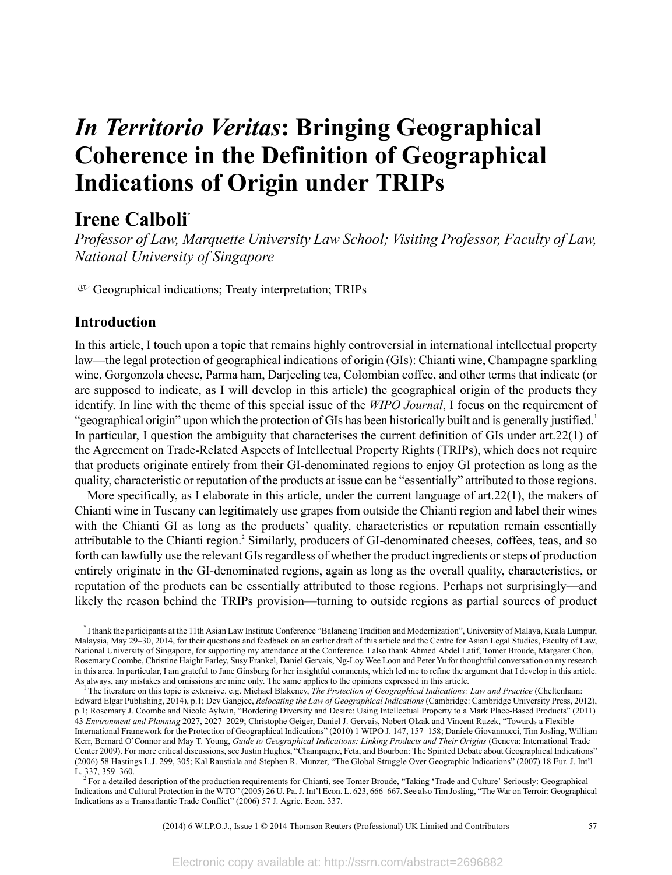# *In Territorio Veritas***: Bringing Geographical Coherence in the Definition of Geographical Indications of Origin under TRIPs**

## **Irene Calboli\***

*Professor of Law, Marquette University Law School; Visiting Professor, Faculty of Law, National University of Singapore*

 $G$  Geographical indications; Treaty interpretation; TRIPs

### **Introduction**

In this article, I touch upon a topic that remains highly controversial in international intellectual property law—the legal protection of geographical indications of origin (GIs): Chianti wine, Champagne sparkling wine, Gorgonzola cheese, Parma ham, Darjeeling tea, Colombian coffee, and other terms that indicate (or are supposed to indicate, as I will develop in this article) the geographical origin of the products they identify. In line with the theme of this special issue of the *WIPO Journal*, I focus on the requirement of "geographical origin" upon which the protection of GIs has been historically built and is generally justified.<sup>1</sup> In particular, I question the ambiguity that characterises the current definition of GIs under art.22(1) of the Agreement on Trade-Related Aspects of Intellectual Property Rights (TRIPs), which does not require that products originate entirely from their GI-denominated regions to enjoy GI protection as long as the quality, characteristic or reputation of the products at issue can be "essentially" attributed to those regions.

More specifically, as I elaborate in this article, under the current language of art.22(1), the makers of Chianti wine in Tuscany can legitimately use grapes from outside the Chianti region and label their wines with the Chianti GI as long as the products' quality, characteristics or reputation remain essentially attributable to the Chianti region.<sup>2</sup> Similarly, producers of GI-denominated cheeses, coffees, teas, and so forth can lawfully use the relevant GIsregardless of whether the product ingredients orsteps of production entirely originate in the GI-denominated regions, again as long as the overall quality, characteristics, or reputation of the products can be essentially attributed to those regions. Perhaps not surprisingly—and likely the reason behind the TRIPs provision—turning to outside regions as partial sources of product

For a detailed description of the production requirements for Chianti, see Tomer Broude, "Taking 'Trade and Culture' Seriously: Geographical Indications and Cultural Protection in the WTO" (2005) 26 U. Pa.J. Int'l Econ. L. 623, 666–667. See also Tim Josling, "The War on Terroir: Geographical Indications as a Transatlantic Trade Conflict" (2006) 57 J. Agric. Econ. 337.

(2014) 6 W.I.P.O.J., Issue 1 © 2014 Thomson Reuters (Professional) UK Limited and Contributors 57

<sup>\*</sup> I thank the participants at the 11th Asian Law Institute Conference "Balancing Tradition and Modernization", University of Malaya, Kuala Lumpur, Malaysia, May 29–30, 2014, for their questions and feedback on an earlier draft of this article and the Centre for Asian Legal Studies, Faculty of Law, National University of Singapore, for supporting my attendance at the Conference. I also thank Ahmed Abdel Latif, Tomer Broude, Margaret Chon, Rosemary Coombe, Christine Haight Farley, Susy Frankel, Daniel Gervais, Ng-Loy Wee Loon and Peter Yu for thoughtful conversation on my research in this area. In particular, I am grateful to Jane Ginsburg for her insightful comments, which led me to refine the argument that I develop in this article. As always, any mistakes and omissions are mine only. The same applies to the opinions expressed in this article.

<sup>1</sup> The literature on this topic is extensive. e.g. Michael Blakeney, *The Protection of Geographical Indications: Law and Practice* (Cheltenham: Edward Elgar Publishing, 2014), p.1; Dev Gangjee, *Relocating the Law of Geographical Indications* (Cambridge: Cambridge University Press, 2012), p.1; Rosemary J. Coombe and Nicole Aylwin, "Bordering Diversity and Desire: Using Intellectual Property to a Mark Place-Based Products" (2011) 43 *Environment and Planning* 2027, 2027–2029; Christophe Geiger, Daniel J. Gervais, Nobert Olzak and Vincent Ruzek, "Towards a Flexible International Framework for the Protection of Geographical Indications" (2010) 1 WIPO J. 147, 157–158; Daniele Giovannucci, Tim Josling, William Kerr, Bernard O'Connor and May T. Young, *Guide to Geographical Indications: Linking Products and Their Origins* (Geneva: International Trade Center 2009). For more critical discussions, see Justin Hughes, "Champagne, Feta, and Bourbon: The Spirited Debate about Geographical Indications" (2006) 58 Hastings L.J. 299, 305; Kal Raustiala and Stephen R. Munzer, "The Global Struggle Over Geographic Indications" (2007) 18 Eur. J. Int'l L. 337, 359–360.<br><sup>2</sup> For a detailed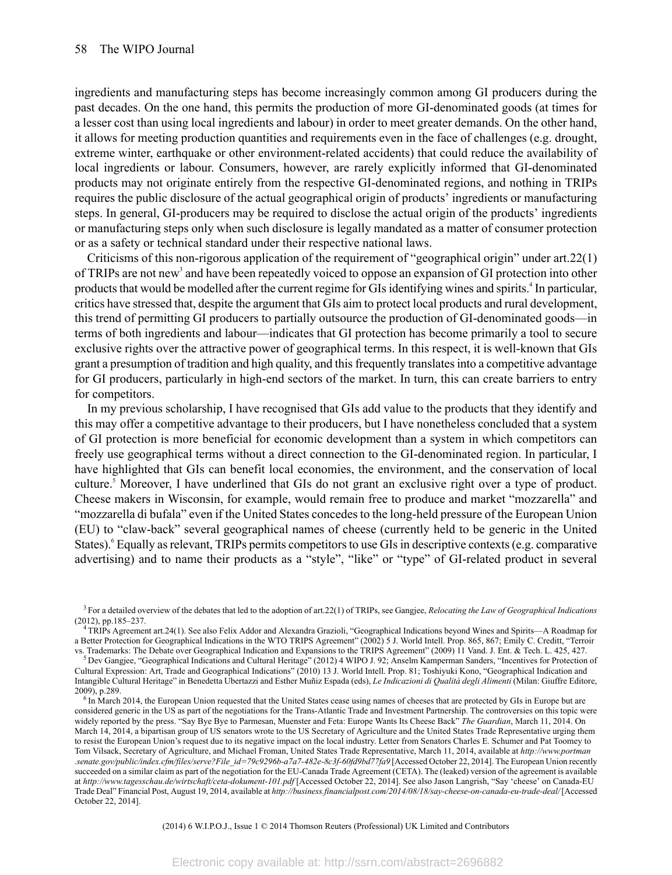ingredients and manufacturing steps has become increasingly common among GI producers during the past decades. On the one hand, this permits the production of more GI-denominated goods (at times for a lesser cost than using local ingredients and labour) in order to meet greater demands. On the other hand, it allows for meeting production quantities and requirements even in the face of challenges (e.g. drought, extreme winter, earthquake or other environment-related accidents) that could reduce the availability of local ingredients or labour. Consumers, however, are rarely explicitly informed that GI-denominated products may not originate entirely from the respective GI-denominated regions, and nothing in TRIPs requires the public disclosure of the actual geographical origin of products' ingredients or manufacturing steps. In general, GI-producers may be required to disclose the actual origin of the products' ingredients or manufacturing steps only when such disclosure is legally mandated as a matter of consumer protection or as a safety or technical standard under their respective national laws.

Criticisms of this non-rigorous application of the requirement of "geographical origin" under art.22(1) of TRIPs are not new<sup>3</sup> and have been repeatedly voiced to oppose an expansion of GI protection into other products that would be modelled after the current regime for GIs identifying wines and spirits.<sup>4</sup> In particular, critics have stressed that, despite the argument that GIs aim to protect local products and rural development, this trend of permitting GI producers to partially outsource the production of GI-denominated goods—in terms of both ingredients and labour—indicates that GI protection has become primarily a tool to secure exclusive rights over the attractive power of geographical terms. In this respect, it is well-known that GIs grant a presumption of tradition and high quality, and thisfrequently translatesinto a competitive advantage for GI producers, particularly in high-end sectors of the market. In turn, this can create barriers to entry for competitors.

In my previous scholarship, I have recognised that GIs add value to the products that they identify and this may offer a competitive advantage to their producers, but I have nonetheless concluded that a system of GI protection is more beneficial for economic development than a system in which competitors can freely use geographical terms without a direct connection to the GI-denominated region. In particular, I have highlighted that GIs can benefit local economies, the environment, and the conservation of local culture.<sup>5</sup> Moreover, I have underlined that GIs do not grant an exclusive right over a type of product. Cheese makers in Wisconsin, for example, would remain free to produce and market "mozzarella" and "mozzarella di bufala" even if the United States concedes to the long-held pressure of the European Union (EU) to "claw-back" several geographical names of cheese (currently held to be generic in the United States).<sup>6</sup> Equally as relevant, TRIPs permits competitors to use GIs in descriptive contexts (e.g. comparative advertising) and to name their products as a "style", "like" or "type" of GI-related product in several

(2014) 6 W.I.P.O.J., Issue 1 © 2014 Thomson Reuters (Professional) UK Limited and Contributors

<sup>3</sup> For a detailed overview of the debates that led to the adoption of art.22(1) of TRIPs, see Gangjee, *Relocating the Law of Geographical Indications* (2012), pp.185–237.

<sup>4</sup> TRIPs Agreement art.24(1). See also Felix Addor and Alexandra Grazioli, "Geographical Indications beyond Wines and Spirits—A Roadmap for a Better Protection for Geographical Indications in the WTO TRIPS Agreement" (2002) 5 J. World Intell. Prop. 865, 867; Emily C. Creditt, "Terroir vs. Trademarks: The Debate over Geographical Indication and Expansions to the TRIPS Agreement" (2009) 11 Vand. J. Ent. & Tech. L. 425, 427.

<sup>5</sup> Dev Gangjee, "Geographical Indications and Cultural Heritage" (2012) 4 WIPO J. 92; Anselm Kamperman Sanders, "Incentives for Protection of Cultural Expression: Art, Trade and Geographical Indications" (2010) 13 J. World Intell. Prop. 81; Toshiyuki Kono, "Geographical Indication and Intangible Cultural Heritage" in Benedetta Ubertazzi and Esther Muñiz Espada (eds), *Le Indicazioni di Qualità degli Alimenti* (Milan: Giuffre Editore, 2009), p.289.

<sup>&</sup>lt;sup>6</sup> In March 2014, the European Union requested that the United States cease using names of cheeses that are protected by GIs in Europe but are considered generic in the US as part of the negotiations for the Trans-Atlantic Trade and Investment Partnership. The controversies on this topic were widely reported by the press. "Say Bye Bye to Parmesan, Muenster and Feta: Europe Wants Its Cheese Back" *The Guardian*, March 11, 2014. On March 14, 2014, a bipartisan group of US senators wrote to the US Secretary of Agriculture and the United States Trade Representative urging them to resist the European Union's request due to its negative impact on the local industry. Letter from Senators Charles E. Schumer and Pat Toomey to Tom Vilsack, Secretary of Agriculture, and Michael Froman, United States Trade Representative, March 11, 2014, available at *http://www.portman .senate.gov/public/index.cfm/files/serve?File\_id=79c9296b-a7a7-482e-8c3f-60fd9bd77fa9* [Accessed October 22, 2014]. The European Union recently succeeded on a similar claim as part of the negotiation for the EU-Canada Trade Agreement (CETA). The (leaked) version of the agreement is available at *http://www.tagesschau.de/wirtschaft/ceta-dokument-101.pdf* [Accessed October 22, 2014]. See also Jason Langrish, "Say 'cheese' on Canada-EU Trade Deal" Financial Post, August 19, 2014, available at *http://business.financialpost.com/2014/08/18/say-cheese-on-canada-eu-trade-deal/* [Accessed October 22, 2014].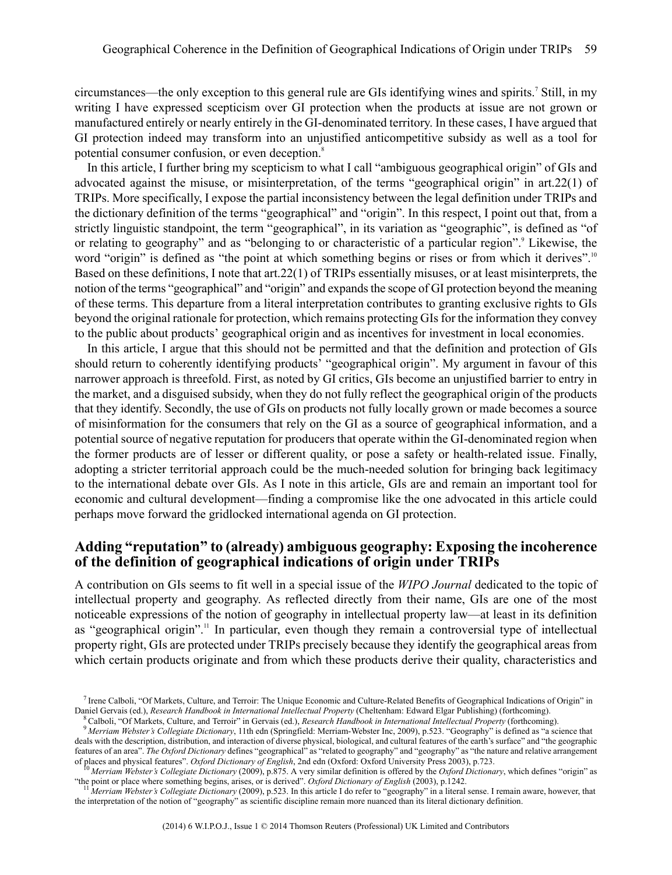circumstances—the only exception to this general rule are GIs identifying wines and spirits.<sup>7</sup> Still, in my writing I have expressed scepticism over GI protection when the products at issue are not grown or manufactured entirely or nearly entirely in the GI-denominated territory. In these cases, I have argued that GI protection indeed may transform into an unjustified anticompetitive subsidy as well as a tool for potential consumer confusion, or even deception.<sup>8</sup>

In this article, I further bring my scepticism to what I call "ambiguous geographical origin" of GIs and advocated against the misuse, or misinterpretation, of the terms "geographical origin" in art.22(1) of TRIPs. More specifically, I expose the partial inconsistency between the legal definition under TRIPs and the dictionary definition of the terms "geographical" and "origin". In this respect, I point out that, from a strictly linguistic standpoint, the term "geographical", in its variation as "geographic", is defined as "of or relating to geography" and as "belonging to or characteristic of a particular region".<sup>9</sup> Likewise, the word "origin" is defined as "the point at which something begins or rises or from which it derives".<sup>10</sup> Based on these definitions, I note that art.22(1) of TRIPs essentially misuses, or at least misinterprets, the notion of the terms "geographical" and "origin" and expands the scope of GI protection beyond the meaning of these terms. This departure from a literal interpretation contributes to granting exclusive rights to GIs beyond the original rationale for protection, which remains protecting GIsfor the information they convey to the public about products' geographical origin and as incentives for investment in local economies.

In this article, I argue that this should not be permitted and that the definition and protection of GIs should return to coherently identifying products' "geographical origin". My argument in favour of this narrower approach is threefold. First, as noted by GI critics, GIs become an unjustified barrier to entry in the market, and a disguised subsidy, when they do not fully reflect the geographical origin of the products that they identify. Secondly, the use of GIs on products not fully locally grown or made becomes a source of misinformation for the consumers that rely on the GI as a source of geographical information, and a potential source of negative reputation for producers that operate within the GI-denominated region when the former products are of lesser or different quality, or pose a safety or health-related issue. Finally, adopting a stricter territorial approach could be the much-needed solution for bringing back legitimacy to the international debate over GIs. As I note in this article, GIs are and remain an important tool for economic and cultural development—finding a compromise like the one advocated in this article could perhaps move forward the gridlocked international agenda on GI protection.

#### **Adding "reputation" to (already) ambiguous geography: Exposing the incoherence of the definition of geographical indications of origin under TRIPs**

A contribution on GIs seems to fit well in a special issue of the *WIPO Journal* dedicated to the topic of intellectual property and geography. As reflected directly from their name, GIs are one of the most noticeable expressions of the notion of geography in intellectual property law—at least in its definition as "geographical origin".<sup>11</sup> In particular, even though they remain a controversial type of intellectual property right, GIs are protected under TRIPs precisely because they identify the geographical areas from which certain products originate and from which these products derive their quality, characteristics and

<sup>&</sup>lt;sup>7</sup> Irene Calboli, "Of Markets, Culture, and Terroir: The Unique Economic and Culture-Related Benefits of Geographical Indications of Origin" in Daniel Gervais (ed.), *Research Handbook in International Intellectual Property* (Cheltenham: Edward Elgar Publishing) (forthcoming).

<sup>8</sup> Calboli, "Of Markets, Culture, and Terroir" in Gervais (ed.), *Research Handbook in International Intellectual Property* (forthcoming).

<sup>9</sup> *Merriam Webster's Collegiate Dictionary*, 11th edn (Springfield: Merriam-Webster Inc, 2009), p.523. "Geography" is defined as "a science that deals with the description, distribution, and interaction of diverse physical, biological, and cultural features of the earth's surface" and "the geographic features of an area". *The Oxford Dictionary* defines "geographical" as "related to geography" and "geography" as "the nature and relative arrangement of places and physical features". *Oxford Dictionary of English*, 2nd edn (Oxford: Oxford University Press 2003), p.723.

<sup>10</sup> *Merriam Webster's Collegiate Dictionary* (2009), p.875. A very similar definition is offered by the *Oxford Dictionary*, which defines "origin" as "the point or place where something begins, arises, or is derived". *Oxford Dictionary of English* (2003), p.1242.

<sup>11</sup> *Merriam Webster's Collegiate Dictionary* (2009), p.523. In this article I do refer to "geography" in a literal sense. I remain aware, however, that the interpretation of the notion of "geography" as scientific discipline remain more nuanced than its literal dictionary definition.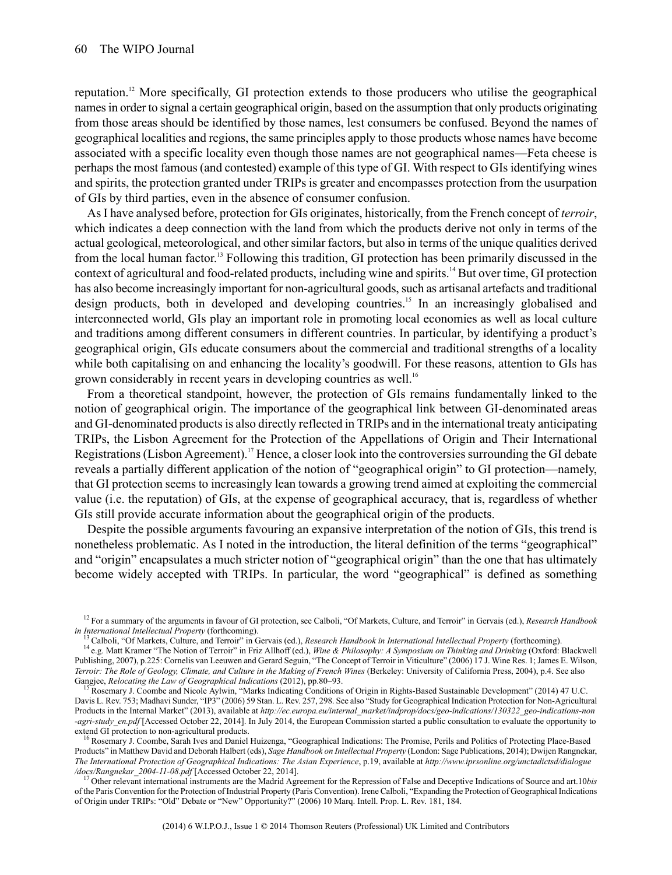reputation.<sup>12</sup> More specifically, GI protection extends to those producers who utilise the geographical namesin order to signal a certain geographical origin, based on the assumption that only products originating from those areas should be identified by those names, lest consumers be confused. Beyond the names of geographical localities and regions, the same principles apply to those products whose names have become associated with a specific locality even though those names are not geographical names—Feta cheese is perhaps the most famous (and contested) example of this type of GI. With respect to GIs identifying wines and spirits, the protection granted under TRIPs is greater and encompasses protection from the usurpation of GIs by third parties, even in the absence of consumer confusion.

As I have analysed before, protection for GIs originates, historically, from the French concept of *terroir*, which indicates a deep connection with the land from which the products derive not only in terms of the actual geological, meteorological, and other similar factors, but also in terms of the unique qualities derived from the local human factor.<sup>13</sup> Following this tradition, GI protection has been primarily discussed in the context of agricultural and food-related products, including wine and spirits.<sup>14</sup> But over time, GI protection has also become increasingly important for non-agricultural goods, such as artisanal artefacts and traditional design products, both in developed and developing countries.<sup>15</sup> In an increasingly globalised and interconnected world, GIs play an important role in promoting local economies as well as local culture and traditions among different consumers in different countries. In particular, by identifying a product's geographical origin, GIs educate consumers about the commercial and traditional strengths of a locality while both capitalising on and enhancing the locality's goodwill. For these reasons, attention to GIs has grown considerably in recent years in developing countries as well.<sup>16</sup>

From a theoretical standpoint, however, the protection of GIs remains fundamentally linked to the notion of geographical origin. The importance of the geographical link between GI-denominated areas and GI-denominated productsis also directly reflected in TRIPs and in the international treaty anticipating TRIPs, the Lisbon Agreement for the Protection of the Appellations of Origin and Their International Registrations (Lisbon Agreement).<sup>17</sup> Hence, a closer look into the controversies surrounding the GI debate reveals a partially different application of the notion of "geographical origin" to GI protection—namely, that GI protection seems to increasingly lean towards a growing trend aimed at exploiting the commercial value (i.e. the reputation) of GIs, at the expense of geographical accuracy, that is, regardless of whether GIs still provide accurate information about the geographical origin of the products.

Despite the possible arguments favouring an expansive interpretation of the notion of GIs, this trend is nonetheless problematic. As I noted in the introduction, the literal definition of the terms "geographical" and "origin" encapsulates a much stricter notion of "geographical origin" than the one that has ultimately become widely accepted with TRIPs. In particular, the word "geographical" is defined as something

<sup>12</sup> For a summary of the arguments in favour of GI protection, see Calboli, "Of Markets, Culture, and Terroir" in Gervais (ed.), *Research Handbook in International Intellectual Property* (forthcoming).

<sup>13</sup> Calboli, "Of Markets, Culture, and Terroir" in Gervais (ed.), *Research Handbook in International Intellectual Property* (forthcoming).

<sup>14</sup> e.g. Matt Kramer "The Notion of Terroir" in Friz Allhoff (ed.), *Wine & Philosophy: A Symposium on Thinking and Drinking* (Oxford: Blackwell Publishing, 2007), p.225: Cornelis van Leeuwen and Gerard Seguin, "The Concept of Terroir in Viticulture" (2006) 17 J. Wine Res. 1; James E. Wilson, Terroir: The Role of Geology, Climate, and Culture in the Making of French Wines (Berkeley: University of California Press, 2004), p.4. See also Gangjee, *Relocating the Law of Geographical Indications* (2012), pp.80–93.

Rosemary J. Coombe and Nicole Aylwin, "Marks Indicating Conditions of Origin in Rights-Based Sustainable Development" (2014) 47 U.C. Davis L. Rev. 753; Madhavi Sunder, "IP3" (2006) 59 Stan. L. Rev. 257, 298. See also "Study for Geographical Indication Protection for Non-Agricultural Products in the Internal Market" (2013), available at *http://ec.europa.eu/internal\_market/indprop/docs/geo-indications/130322\_geo-indications-non -agri-study\_en.pdf* [Accessed October 22, 2014]. In July 2014, the European Commission started a public consultation to evaluate the opportunity to extend GI protection to non-agricultural products.

<sup>&</sup>lt;sup>16</sup> Rosemary J. Coombe, Sarah Ives and Daniel Huizenga, "Geographical Indications: The Promise, Perils and Politics of Protecting Place-Based Products" in Matthew David and Deborah Halbert (eds), *Sage Handbook on Intellectual Property* (London: Sage Publications, 2014); Dwijen Rangnekar, *The International Protection of Geographical Indications: The Asian Experience*, p.19, available at *http://www.iprsonline.org/unctadictsd/dialogue /docs/Rangnekar\_2004-11-08.pdf* [Accessed October 22, 2014].

<sup>17</sup> Other relevant international instruments are the Madrid Agreement for the Repression of False and Deceptive Indications of Source and art.10*bis* of the Paris Convention for the Protection of Industrial Property (Paris Convention). Irene Calboli, "Expanding the Protection of Geographical Indications of Origin under TRIPs: "Old" Debate or "New" Opportunity?" (2006) 10 Marq. Intell. Prop. L. Rev. 181, 184.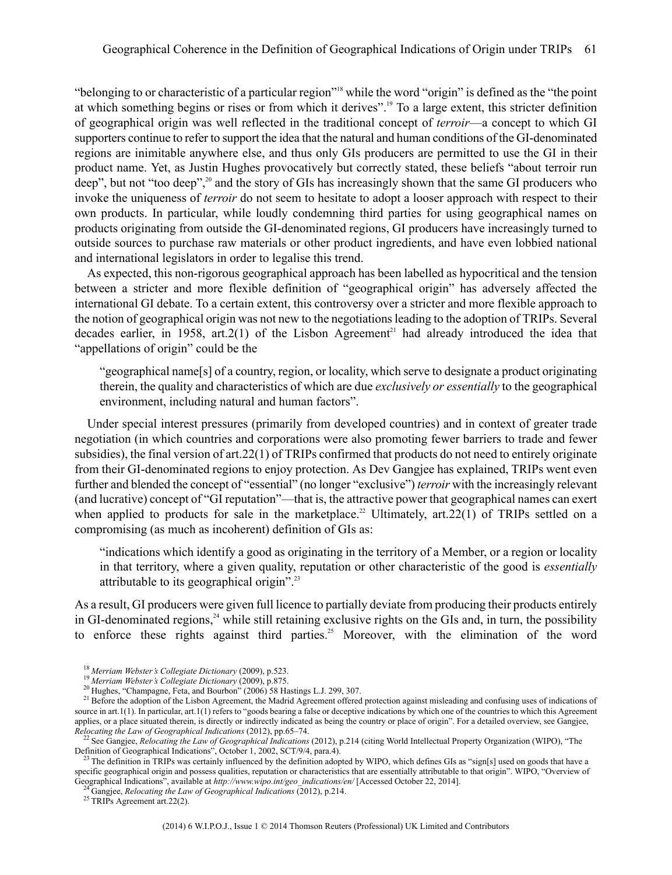"belonging to or characteristic of a particular region"<sup>18</sup> while the word "origin" is defined as the "the point" at which something begins or rises or from which it derives".<sup>19</sup> To a large extent, this stricter definition of geographical origin was well reflected in the traditional concept of *terroir*—a concept to which GI supporters continue to refer to support the idea that the natural and human conditions of the GI-denominated regions are inimitable anywhere else, and thus only GIs producers are permitted to use the GI in their product name. Yet, as Justin Hughes provocatively but correctly stated, these beliefs "about terroir run deep", but not "too deep",<sup>20</sup> and the story of GIs has increasingly shown that the same GI producers who invoke the uniqueness of *terroir* do not seem to hesitate to adopt a looser approach with respect to their own products. In particular, while loudly condemning third parties for using geographical names on products originating from outside the GI-denominated regions, GI producers have increasingly turned to outside sources to purchase raw materials or other product ingredients, and have even lobbied national and international legislators in order to legalise this trend.

As expected, this non-rigorous geographical approach has been labelled as hypocritical and the tension between a stricter and more flexible definition of "geographical origin" has adversely affected the international GI debate. To a certain extent, this controversy over a stricter and more flexible approach to the notion of geographical origin was not new to the negotiations leading to the adoption of TRIPs. Several decades earlier, in 1958, art.2(1) of the Lisbon Agreement<sup>21</sup> had already introduced the idea that "appellations of origin" could be the

"geographical name[s] of a country, region, or locality, which serve to designate a product originating therein, the quality and characteristics of which are due *exclusively or essentially* to the geographical environment, including natural and human factors".

Under special interest pressures (primarily from developed countries) and in context of greater trade negotiation (in which countries and corporations were also promoting fewer barriers to trade and fewer subsidies), the final version of art.22(1) of TRIPs confirmed that products do not need to entirely originate from their GI-denominated regions to enjoy protection. As Dev Gangjee has explained, TRIPs went even further and blended the concept of "essential" (no longer "exclusive") *terroir* with the increasingly relevant (and lucrative) concept of "GI reputation"—that is, the attractive power that geographical names can exert when applied to products for sale in the marketplace.<sup>22</sup> Ultimately, art.  $22(1)$  of TRIPs settled on a compromising (as much as incoherent) definition of GIs as:

"indications which identify a good as originating in the territory of a Member, or a region or locality in that territory, where a given quality, reputation or other characteristic of the good is *essentially* attributable to its geographical origin".<sup>23</sup>

As a result, GI producers were given full licence to partially deviate from producing their products entirely in GI-denominated regions,<sup>24</sup> while still retaining exclusive rights on the GIs and, in turn, the possibility to enforce these rights against third parties.<sup>25</sup> Moreover, with the elimination of the word

<sup>18</sup> *Merriam Webster's Collegiate Dictionary* (2009), p.523.

<sup>19</sup> *Merriam Webster's Collegiate Dictionary* (2009), p.875.

<sup>&</sup>lt;sup>20</sup> Hughes, "Champagne, Feta, and Bourbon" (2006) 58 Hastings L.J. 299, 307.

<sup>&</sup>lt;sup>21</sup> Before the adoption of the Lisbon Agreement, the Madrid Agreement offered protection against misleading and confusing uses of indications of source in art.1(1). In particular, art.1(1) refers to "goods bearing a false or deceptive indications by which one of the countries to which this Agreement applies, or a place situated therein, is directly or indirectly indicated as being the country or place of origin". For a detailed overview, see Gangjee,

Relocating the Law of Geographical Indications (2012), pp.65–74.<br><sup>22</sup> See Gangjee, Relocating the Law of Geographical Indications (2012), p.214 (citing World Intellectual Property Organization (WIPO), "The Definition of Geographical Indications", October 1, 2002, SCT/9/4, para.4).

<sup>&</sup>lt;sup>23</sup> The definition in TRIPs was certainly influenced by the definition adopted by WIPO, which defines GIs as "sign[s] used on goods that have a specific geographical origin and possess qualities, reputation or characteristics that are essentially attributable to that origin". WIPO, "Overview of Geographical Indications", available at *http://www.wipo.int/geo\_indications/en/* [Accessed October 22, 2014].

<sup>24</sup> Gangjee, *Relocating the Law of Geographical Indications* (2012), p.214.

<sup>&</sup>lt;sup>25</sup> TRIPs Agreement art.22(2).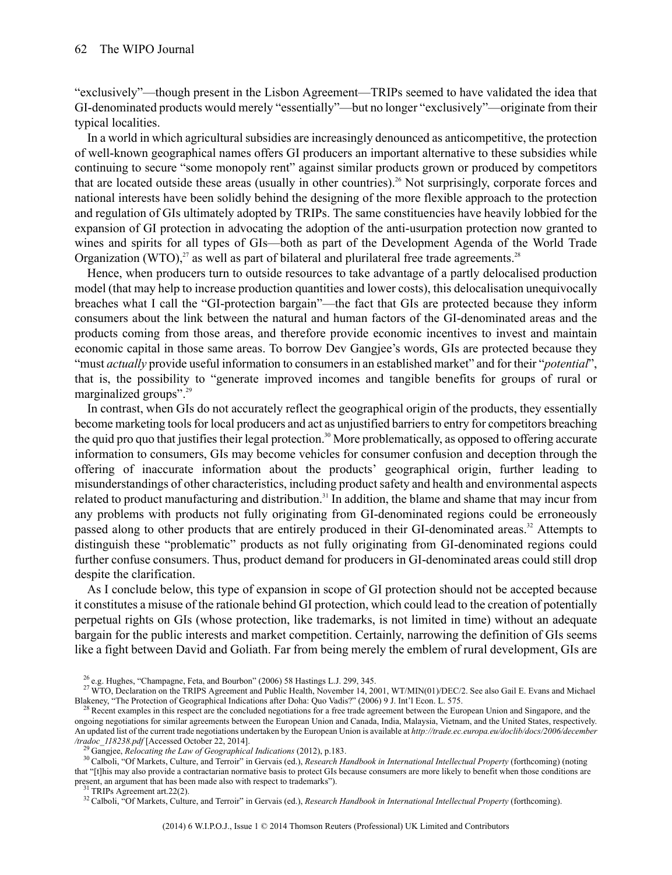"exclusively"—though present in the Lisbon Agreement—TRIPs seemed to have validated the idea that GI-denominated products would merely "essentially"—but no longer "exclusively"—originate from their typical localities.

In a world in which agricultural subsidies are increasingly denounced as anticompetitive, the protection of well-known geographical names offers GI producers an important alternative to these subsidies while continuing to secure "some monopoly rent" against similar products grown or produced by competitors that are located outside these areas (usually in other countries).<sup>26</sup> Not surprisingly, corporate forces and national interests have been solidly behind the designing of the more flexible approach to the protection and regulation of GIs ultimately adopted by TRIPs. The same constituencies have heavily lobbied for the expansion of GI protection in advocating the adoption of the anti-usurpation protection now granted to wines and spirits for all types of GIs—both as part of the Development Agenda of the World Trade Organization (WTO), $^{27}$  as well as part of bilateral and plurilateral free trade agreements.<sup>28</sup>

Hence, when producers turn to outside resources to take advantage of a partly delocalised production model (that may help to increase production quantities and lower costs), this delocalisation unequivocally breaches what I call the "GI-protection bargain"—the fact that GIs are protected because they inform consumers about the link between the natural and human factors of the GI-denominated areas and the products coming from those areas, and therefore provide economic incentives to invest and maintain economic capital in those same areas. To borrow Dev Gangjee's words, GIs are protected because they "must *actually* provide useful information to consumersin an established market" and for their "*potential*", that is, the possibility to "generate improved incomes and tangible benefits for groups of rural or marginalized groups".<sup>29</sup>

In contrast, when GIs do not accurately reflect the geographical origin of the products, they essentially become marketing tools for local producers and act as unjustified barriers to entry for competitors breaching the quid pro quo that justifies their legal protection.<sup>30</sup> More problematically, as opposed to offering accurate information to consumers, GIs may become vehicles for consumer confusion and deception through the offering of inaccurate information about the products' geographical origin, further leading to misunderstandings of other characteristics, including product safety and health and environmental aspects related to product manufacturing and distribution.<sup>31</sup> In addition, the blame and shame that may incur from any problems with products not fully originating from GI-denominated regions could be erroneously passed along to other products that are entirely produced in their GI-denominated areas.<sup>32</sup> Attempts to distinguish these "problematic" products as not fully originating from GI-denominated regions could further confuse consumers. Thus, product demand for producers in GI-denominated areas could still drop despite the clarification.

As I conclude below, this type of expansion in scope of GI protection should not be accepted because it constitutes a misuse of the rationale behind GI protection, which could lead to the creation of potentially perpetual rights on GIs (whose protection, like trademarks, is not limited in time) without an adequate bargain for the public interests and market competition. Certainly, narrowing the definition of GIs seems like a fight between David and Goliath. Far from being merely the emblem of rural development, GIs are

<sup>26</sup> e.g. Hughes, "Champagne, Feta, and Bourbon" (2006) 58 Hastings L.J. 299, 345.

<sup>&</sup>lt;sup>27</sup> WTO, Declaration on the TRIPS Agreement and Public Health, November 14, 2001, WT/MIN(01)/DEC/2. See also Gail E. Evans and Michael Blakeney, "The Protection of Geographical Indications after Doha: Quo Vadis?" (2006) 9 J. Int'l Econ. L. 575.

<sup>&</sup>lt;sup>28</sup> Recent examples in this respect are the concluded negotiations for a free trade agreement between the European Union and Singapore, and the ongoing negotiations for similar agreements between the European Union and Canada, India, Malaysia, Vietnam, and the United States, respectively. An updated list of the current trade negotiations undertaken by the European Union is available at *http://trade.ec.europa.eu/doclib/docs/2006/december /tradoc\_118238.pdf* [Accessed October 22, 2014].

<sup>29</sup> Gangjee, *Relocating the Law of Geographical Indications* (2012), p.183.

<sup>30</sup> Calboli, "Of Markets, Culture, and Terroir" in Gervais (ed.), *Research Handbook in International Intellectual Property* (forthcoming) (noting that "[t]his may also provide a contractarian normative basis to protect GIs because consumers are more likely to benefit when those conditions are present, an argument that has been made also with respect to trademarks").<br><sup>31</sup> TRIPs Agreement art.22(2).

<sup>32</sup> Calboli, "Of Markets, Culture, and Terroir" in Gervais (ed.), *Research Handbook in International Intellectual Property* (forthcoming).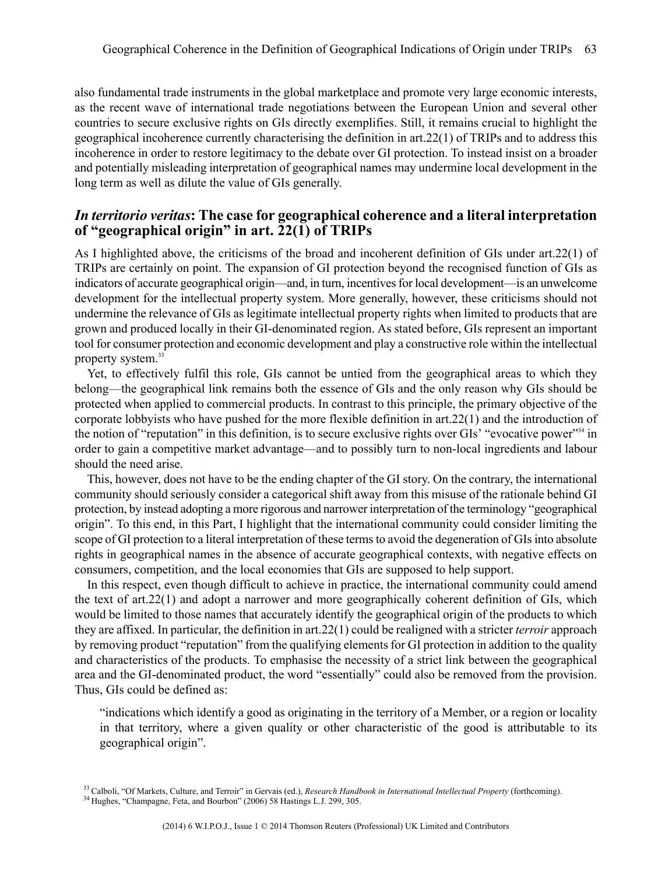also fundamental trade instruments in the global marketplace and promote very large economic interests, as the recent wave of international trade negotiations between the European Union and several other countries to secure exclusive rights on GIs directly exemplifies. Still, it remains crucial to highlight the geographical incoherence currently characterising the definition in art.22(1) of TRIPs and to address this incoherence in order to restore legitimacy to the debate over GI protection. To instead insist on a broader and potentially misleading interpretation of geographical names may undermine local development in the long term as well as dilute the value of GIs generally.

#### *In territorio veritas***: The case for geographical coherence and a literal interpretation of "geographical origin" in art. 22(1) of TRIPs**

As I highlighted above, the criticisms of the broad and incoherent definition of GIs under art.22(1) of TRIPs are certainly on point. The expansion of GI protection beyond the recognised function of GIs as indicators of accurate geographical origin—and, in turn, incentivesfor local development—is an unwelcome development for the intellectual property system. More generally, however, these criticisms should not undermine the relevance of GIs as legitimate intellectual property rights when limited to products that are grown and produced locally in their GI-denominated region. As stated before, GIs represent an important tool for consumer protection and economic development and play a constructive role within the intellectual property system.<sup>33</sup>

Yet, to effectively fulfil this role, GIs cannot be untied from the geographical areas to which they belong—the geographical link remains both the essence of GIs and the only reason why GIs should be protected when applied to commercial products. In contrast to this principle, the primary objective of the corporate lobbyists who have pushed for the more flexible definition in art.22(1) and the introduction of the notion of "reputation" in this definition, is to secure exclusive rights over GIs' "evocative power"<sup>34</sup> in order to gain a competitive market advantage—and to possibly turn to non-local ingredients and labour should the need arise.

This, however, does not have to be the ending chapter of the GI story. On the contrary, the international community should seriously consider a categorical shift away from this misuse of the rationale behind GI protection, by instead adopting a more rigorous and narrower interpretation of the terminology "geographical origin". To this end, in this Part, I highlight that the international community could consider limiting the scope of GI protection to a literal interpretation of these termsto avoid the degeneration of GIsinto absolute rights in geographical names in the absence of accurate geographical contexts, with negative effects on consumers, competition, and the local economies that GIs are supposed to help support.

In this respect, even though difficult to achieve in practice, the international community could amend the text of art.22(1) and adopt a narrower and more geographically coherent definition of GIs, which would be limited to those names that accurately identify the geographical origin of the products to which they are affixed. In particular, the definition in art.22(1) could be realigned with a stricter *terroir* approach by removing product "reputation" from the qualifying elements for GI protection in addition to the quality and characteristics of the products. To emphasise the necessity of a strict link between the geographical area and the GI-denominated product, the word "essentially" could also be removed from the provision. Thus, GIs could be defined as:

"indications which identify a good as originating in the territory of a Member, or a region or locality in that territory, where a given quality or other characteristic of the good is attributable to its geographical origin".

<sup>33</sup> Calboli, "Of Markets, Culture, and Terroir" in Gervais (ed.), *Research Handbook in International Intellectual Property* (forthcoming).

<sup>&</sup>lt;sup>34</sup> Hughes, "Champagne, Feta, and Bourbon" (2006) 58 Hastings L.J. 299, 305.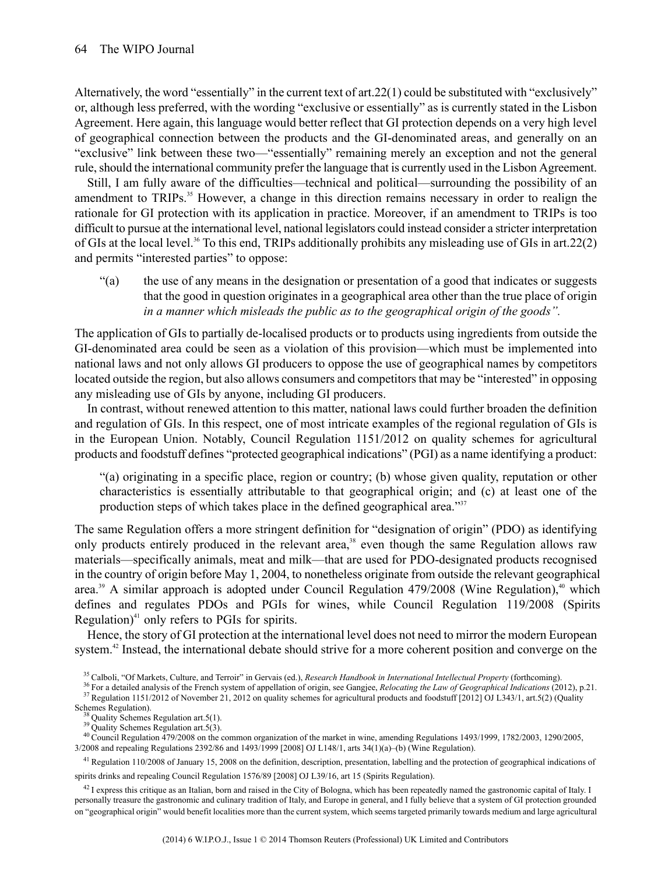Alternatively, the word "essentially" in the current text of art.22(1) could be substituted with "exclusively" or, although less preferred, with the wording "exclusive or essentially" as is currently stated in the Lisbon Agreement. Here again, this language would better reflect that GI protection depends on a very high level of geographical connection between the products and the GI-denominated areas, and generally on an "exclusive" link between these two—"essentially" remaining merely an exception and not the general rule, should the international community prefer the language that is currently used in the Lisbon Agreement.

Still, I am fully aware of the difficulties—technical and political—surrounding the possibility of an amendment to TRIPs.<sup>35</sup> However, a change in this direction remains necessary in order to realign the rationale for GI protection with its application in practice. Moreover, if an amendment to TRIPs is too difficult to pursue at the international level, national legislators could instead consider a stricter interpretation of GIs at the local level.<sup>36</sup> To this end, TRIPs additionally prohibits any misleading use of GIs in art.22(2) and permits "interested parties" to oppose:

"(a) the use of any means in the designation or presentation of a good that indicates or suggests that the good in question originates in a geographical area other than the true place of origin *in a manner which misleads the public as to the geographical origin of the goods".*

The application of GIs to partially de-localised products or to products using ingredients from outside the GI-denominated area could be seen as a violation of this provision—which must be implemented into national laws and not only allows GI producers to oppose the use of geographical names by competitors located outside the region, but also allows consumers and competitors that may be "interested" in opposing any misleading use of GIs by anyone, including GI producers.

In contrast, without renewed attention to this matter, national laws could further broaden the definition and regulation of GIs. In this respect, one of most intricate examples of the regional regulation of GIs is in the European Union. Notably, Council Regulation 1151/2012 on quality schemes for agricultural products and foodstuff defines "protected geographical indications" (PGI) as a name identifying a product:

"(a) originating in a specific place, region or country; (b) whose given quality, reputation or other characteristics is essentially attributable to that geographical origin; and (c) at least one of the production steps of which takes place in the defined geographical area."<sup>37</sup>

The same Regulation offers a more stringent definition for "designation of origin" (PDO) as identifying only products entirely produced in the relevant area,<sup>38</sup> even though the same Regulation allows raw materials—specifically animals, meat and milk—that are used for PDO-designated products recognised in the country of origin before May 1, 2004, to nonetheless originate from outside the relevant geographical area.<sup>39</sup> A similar approach is adopted under Council Regulation  $479/2008$  (Wine Regulation),<sup>40</sup> which defines and regulates PDOs and PGIs for wines, while Council Regulation 119/2008 (Spirits Regulation) $41$  only refers to PGIs for spirits.

Hence, the story of GI protection at the international level does not need to mirror the modern European system.<sup>42</sup> Instead, the international debate should strive for a more coherent position and converge on the

<sup>40</sup> Council Regulation 479/2008 on the common organization of the market in wine, amending Regulations 1493/1999, 1782/2003, 1290/2005, 3/2008 and repealing Regulations 2392/86 and 1493/1999 [2008] OJ L148/1, arts 34(1)(a)–(b) (Wine Regulation).

 $^{41}$  Regulation 110/2008 of January 15, 2008 on the definition, description, presentation, labelling and the protection of geographical indications of spirits drinks and repealing Council Regulation 1576/89 [2008] OJ L39/16, art 15 (Spirits Regulation).

 $42$  I express this critique as an Italian, born and raised in the City of Bologna, which has been repeatedly named the gastronomic capital of Italy. I personally treasure the gastronomic and culinary tradition of Italy, and Europe in general, and I fully believe that a system of GI protection grounded on "geographical origin" would benefit localities more than the current system, which seems targeted primarily towards medium and large agricultural

<sup>35</sup> Calboli, "Of Markets, Culture, and Terroir" in Gervais (ed.), *Research Handbook in International Intellectual Property* (forthcoming).

<sup>36</sup> For a detailed analysis of the French system of appellation of origin, see Gangjee, *Relocating the Law of Geographical Indications* (2012), p.21. <sup>37</sup> Regulation 1151/2012 of November 21, 2012 on quality schemes for agricultural products and foodstuff [2012] OJ L343/1, art.5(2) (Quality Schemes Regulation).

<sup>&</sup>lt;sup>38</sup> Quality Schemes Regulation art.5(1).

<sup>&</sup>lt;sup>39</sup> Quality Schemes Regulation art.5(3).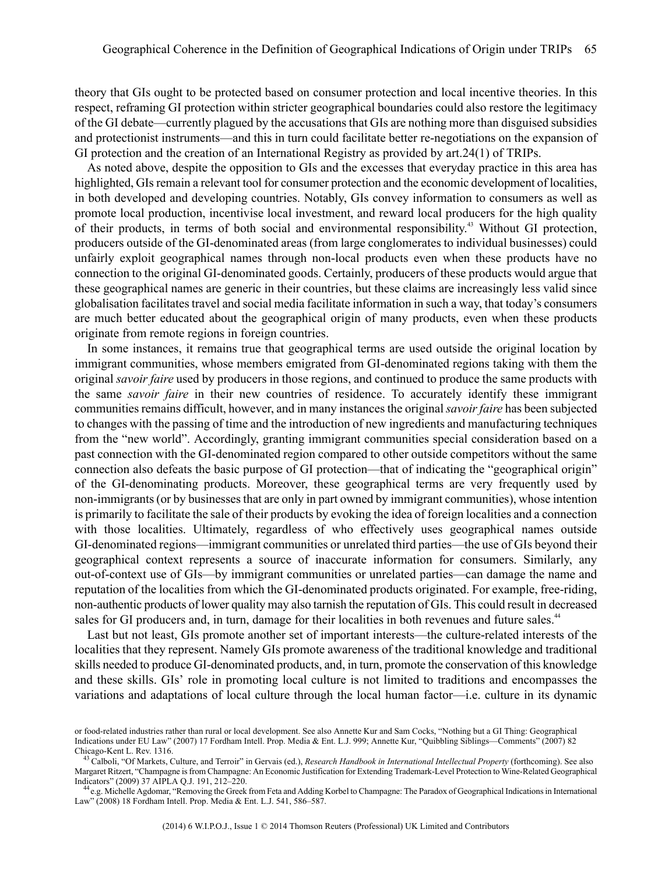theory that GIs ought to be protected based on consumer protection and local incentive theories. In this respect, reframing GI protection within stricter geographical boundaries could also restore the legitimacy of the GI debate—currently plagued by the accusations that GIs are nothing more than disguised subsidies and protectionist instruments—and this in turn could facilitate better re-negotiations on the expansion of GI protection and the creation of an International Registry as provided by art.24(1) of TRIPs.

As noted above, despite the opposition to GIs and the excesses that everyday practice in this area has highlighted, GIs remain a relevant tool for consumer protection and the economic development of localities, in both developed and developing countries. Notably, GIs convey information to consumers as well as promote local production, incentivise local investment, and reward local producers for the high quality of their products, in terms of both social and environmental responsibility. <sup>43</sup> Without GI protection, producers outside of the GI-denominated areas (from large conglomerates to individual businesses) could unfairly exploit geographical names through non-local products even when these products have no connection to the original GI-denominated goods. Certainly, producers of these products would argue that these geographical names are generic in their countries, but these claims are increasingly less valid since globalisation facilitatestravel and social media facilitate information in such a way, that today's consumers are much better educated about the geographical origin of many products, even when these products originate from remote regions in foreign countries.

In some instances, it remains true that geographical terms are used outside the original location by immigrant communities, whose members emigrated from GI-denominated regions taking with them the original *savoir faire* used by producers in those regions, and continued to produce the same products with the same *savoir faire* in their new countries of residence. To accurately identify these immigrant communities remains difficult, however, and in many instances the original *savoir faire* has been subjected to changes with the passing of time and the introduction of new ingredients and manufacturing techniques from the "new world". Accordingly, granting immigrant communities special consideration based on a past connection with the GI-denominated region compared to other outside competitors without the same connection also defeats the basic purpose of GI protection—that of indicating the "geographical origin" of the GI-denominating products. Moreover, these geographical terms are very frequently used by non-immigrants(or by businessesthat are only in part owned by immigrant communities), whose intention is primarily to facilitate the sale of their products by evoking the idea of foreign localities and a connection with those localities. Ultimately, regardless of who effectively uses geographical names outside GI-denominated regions—immigrant communities or unrelated third parties—the use of GIs beyond their geographical context represents a source of inaccurate information for consumers. Similarly, any out-of-context use of GIs—by immigrant communities or unrelated parties—can damage the name and reputation of the localities from which the GI-denominated products originated. For example, free-riding, non-authentic products of lower quality may also tarnish the reputation of GIs. This could result in decreased sales for GI producers and, in turn, damage for their localities in both revenues and future sales.<sup>44</sup>

Last but not least, GIs promote another set of important interests—the culture-related interests of the localities that they represent. Namely GIs promote awareness of the traditional knowledge and traditional skills needed to produce GI-denominated products, and, in turn, promote the conservation of this knowledge and these skills. GIs' role in promoting local culture is not limited to traditions and encompasses the variations and adaptations of local culture through the local human factor—i.e. culture in its dynamic

or food-related industries rather than rural or local development. See also Annette Kur and Sam Cocks, "Nothing but a GI Thing: Geographical Indications under EU Law" (2007) 17 Fordham Intell. Prop. Media & Ent. L.J. 999; Annette Kur, "Quibbling Siblings—Comments" (2007) 82 Chicago-Kent L. Rev. 1316.

<sup>43</sup> Calboli, "Of Markets, Culture, and Terroir" in Gervais (ed.), *Research Handbook in International Intellectual Property* (forthcoming). See also Margaret Ritzert, "Champagne isfrom Champagne: An Economic Justification for Extending Trademark-Level Protection to Wine-Related Geographical Indicators" (2009) 37 AIPLA Q.J. 191, 212–220.

<sup>&</sup>lt;sup>44</sup> e.g. Michelle Agdomar, "Removing the Greek from Feta and Adding Korbel to Champagne: The Paradox of Geographical Indications in International Law" (2008) 18 Fordham Intell. Prop. Media & Ent. L.J. 541, 586–587.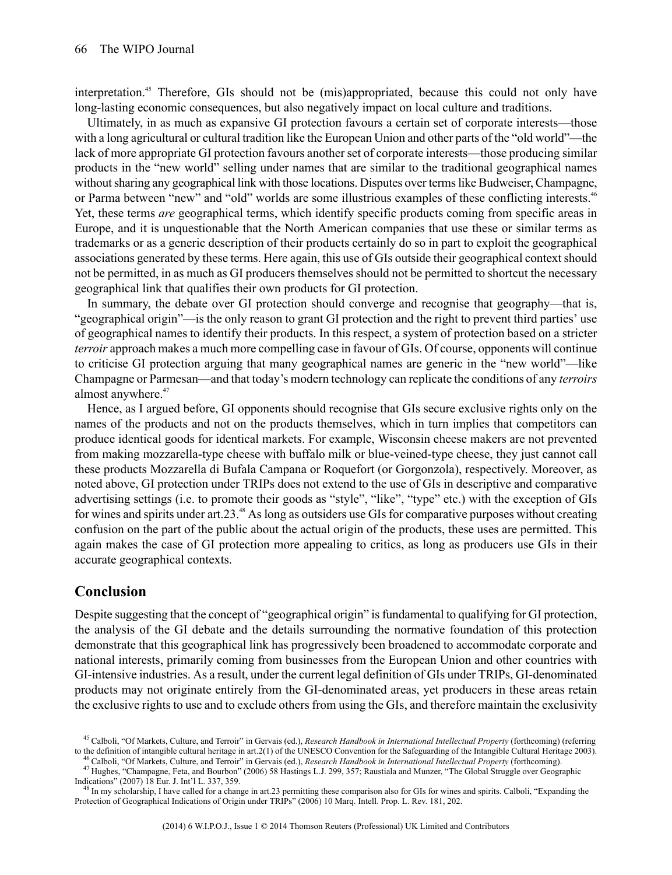interpretation.<sup>45</sup> Therefore, GIs should not be (mis)appropriated, because this could not only have long-lasting economic consequences, but also negatively impact on local culture and traditions.

Ultimately, in as much as expansive GI protection favours a certain set of corporate interests—those with a long agricultural or cultural tradition like the European Union and other parts of the "old world"—the lack of more appropriate GI protection favours another set of corporate interests—those producing similar products in the "new world" selling under names that are similar to the traditional geographical names without sharing any geographical link with those locations. Disputes over terms like Budweiser, Champagne, or Parma between "new" and "old" worlds are some illustrious examples of these conflicting interests.<sup>46</sup> Yet, these terms *are* geographical terms, which identify specific products coming from specific areas in Europe, and it is unquestionable that the North American companies that use these or similar terms as trademarks or as a generic description of their products certainly do so in part to exploit the geographical associations generated by these terms. Here again, this use of GIs outside their geographical context should not be permitted, in as much as GI producers themselves should not be permitted to shortcut the necessary geographical link that qualifies their own products for GI protection.

In summary, the debate over GI protection should converge and recognise that geography—that is, "geographical origin"—is the only reason to grant GI protection and the right to prevent third parties' use of geographical names to identify their products. In this respect, a system of protection based on a stricter *terroir* approach makes a much more compelling case in favour of GIs. Of course, opponents will continue to criticise GI protection arguing that many geographical names are generic in the "new world"—like Champagne orParmesan—and that today's modern technology can replicate the conditions of any *terroirs* almost anywhere.<sup>47</sup>

Hence, as I argued before, GI opponents should recognise that GIs secure exclusive rights only on the names of the products and not on the products themselves, which in turn implies that competitors can produce identical goods for identical markets. For example, Wisconsin cheese makers are not prevented from making mozzarella-type cheese with buffalo milk or blue-veined-type cheese, they just cannot call these products Mozzarella di Bufala Campana or Roquefort (or Gorgonzola), respectively. Moreover, as noted above, GI protection under TRIPs does not extend to the use of GIs in descriptive and comparative advertising settings (i.e. to promote their goods as "style", "like", "type" etc.) with the exception of GIs for wines and spirits under art.23. <sup>48</sup> As long as outsiders use GIs for comparative purposes without creating confusion on the part of the public about the actual origin of the products, these uses are permitted. This again makes the case of GI protection more appealing to critics, as long as producers use GIs in their accurate geographical contexts.

#### **Conclusion**

Despite suggesting that the concept of "geographical origin" is fundamental to qualifying for GI protection, the analysis of the GI debate and the details surrounding the normative foundation of this protection demonstrate that this geographical link has progressively been broadened to accommodate corporate and national interests, primarily coming from businesses from the European Union and other countries with GI-intensive industries. As a result, under the current legal definition of GIs under TRIPs, GI-denominated products may not originate entirely from the GI-denominated areas, yet producers in these areas retain the exclusive rights to use and to exclude others from using the GIs, and therefore maintain the exclusivity

<sup>45</sup> Calboli, "Of Markets, Culture, and Terroir" in Gervais (ed.), *Research Handbook in International Intellectual Property* (forthcoming) (referring to the definition of intangible cultural heritage in art.2(1) of the UNESCO Convention for the Safeguarding of the Intangible Cultural Heritage 2003).

<sup>46</sup> Calboli, "Of Markets, Culture, and Terroir" in Gervais (ed.), *Research Handbook in International Intellectual Property* (forthcoming). <sup>47</sup> Hughes, "Champagne, Feta, and Bourbon" (2006) 58 Hastings L.J. 299, 357; Raustiala and Munzer, "The Global Struggle over Geographic Indications" (2007) 18 Eur. J. Int'l L. 337, 359.

 $^{48}$  In my scholarship. I have called for a change in art.23 permitting these comparison also for GIs for wines and spirits. Calboli, "Expanding the Protection of Geographical Indications of Origin under TRIPs" (2006) 10 Marq. Intell. Prop. L. Rev. 181, 202.